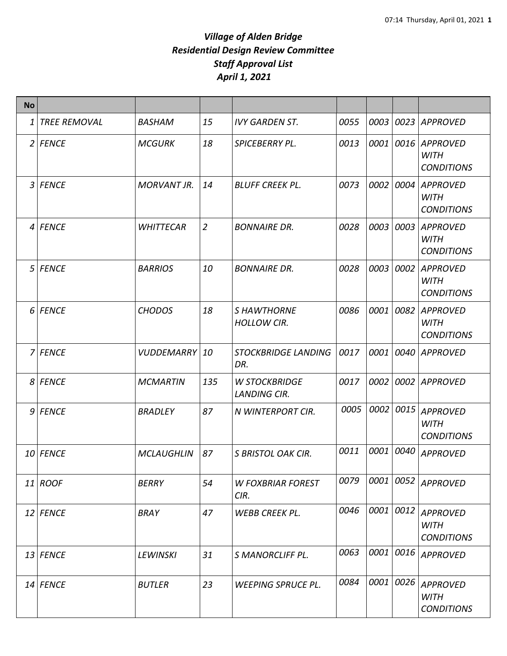| <b>No</b>      |                     |                    |                |                                             |      |           |      |                                                     |
|----------------|---------------------|--------------------|----------------|---------------------------------------------|------|-----------|------|-----------------------------------------------------|
| 1              | <b>TREE REMOVAL</b> | <b>BASHAM</b>      | 15             | <b>IVY GARDEN ST.</b>                       | 0055 | 0003      |      | 0023 APPROVED                                       |
|                | 2 FENCE             | <b>MCGURK</b>      | 18             | SPICEBERRY PL.                              | 0013 | 0001      | 0016 | <b>APPROVED</b><br><b>WITH</b><br><b>CONDITIONS</b> |
| $\overline{3}$ | <b>FENCE</b>        | <b>MORVANT JR.</b> | 14             | <b>BLUFF CREEK PL.</b>                      | 0073 | 0002      | 0004 | <b>APPROVED</b><br>WITH<br><b>CONDITIONS</b>        |
|                | 4 FENCE             | <b>WHITTECAR</b>   | $\overline{2}$ | <b>BONNAIRE DR.</b>                         | 0028 | 0003      | 0003 | <b>APPROVED</b><br><b>WITH</b><br><b>CONDITIONS</b> |
|                | 5 FENCE             | <b>BARRIOS</b>     | 10             | <b>BONNAIRE DR.</b>                         | 0028 | 0003      | 0002 | <b>APPROVED</b><br>WITH<br><b>CONDITIONS</b>        |
|                | 6 FENCE             | <b>CHODOS</b>      | 18             | <b>S HAWTHORNE</b><br><b>HOLLOW CIR.</b>    | 0086 | 0001      | 0082 | <b>APPROVED</b><br><b>WITH</b><br><b>CONDITIONS</b> |
|                | 7 FENCE             | VUDDEMARRY         | 10             | <b>STOCKBRIDGE LANDING</b><br>DR.           | 0017 | 0001      | 0040 | <b>APPROVED</b>                                     |
|                | 8 FENCE             | <b>MCMARTIN</b>    | 135            | <b>W STOCKBRIDGE</b><br><b>LANDING CIR.</b> | 0017 | 0002      | 0002 | APPROVED                                            |
|                | 9 FENCE             | <b>BRADLEY</b>     | 87             | N WINTERPORT CIR.                           | 0005 | 0002      | 0015 | <b>APPROVED</b><br><b>WITH</b><br><b>CONDITIONS</b> |
|                | 10 FENCE            | <b>MCLAUGHLIN</b>  | 87             | S BRISTOL OAK CIR.                          | 0011 | 0001      | 0040 | <b>APPROVED</b>                                     |
|                | $11$ ROOF           | <b>BERRY</b>       | 54             | <b>W FOXBRIAR FOREST</b><br>CIR.            | 0079 | 0001 0052 |      | <b>APPROVED</b>                                     |
|                | $12$ FENCE          | <b>BRAY</b>        | 47             | <b>WEBB CREEK PL.</b>                       | 0046 | 0001 0012 |      | <b>APPROVED</b><br><b>WITH</b><br><b>CONDITIONS</b> |
|                | $13$ FENCE          | <b>LEWINSKI</b>    | 31             | <b>S MANORCLIFF PL.</b>                     | 0063 | 0001      | 0016 | <b>APPROVED</b>                                     |
|                | $14$ FENCE          | <b>BUTLER</b>      | 23             | <b>WEEPING SPRUCE PL.</b>                   | 0084 | 0001      | 0026 | <b>APPROVED</b><br><b>WITH</b><br><b>CONDITIONS</b> |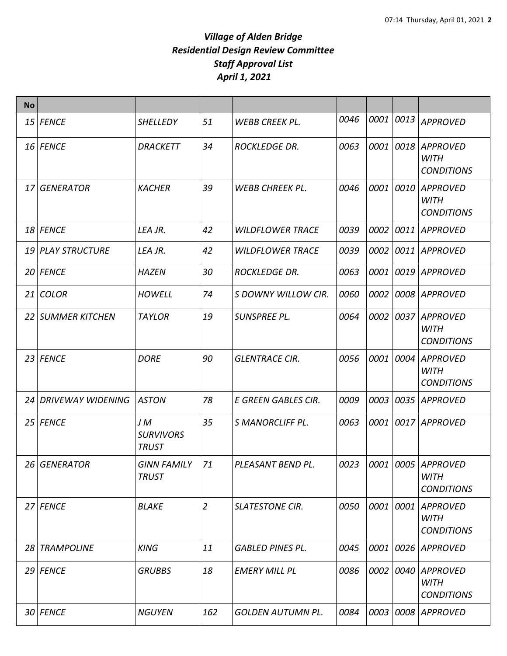| <b>No</b> |                          |                                        |                |                          |      |      |      |                                                        |
|-----------|--------------------------|----------------------------------------|----------------|--------------------------|------|------|------|--------------------------------------------------------|
|           | $15$ FENCE               | <b>SHELLEDY</b>                        | 51             | <b>WEBB CREEK PL.</b>    | 0046 | 0001 | 0013 | <b>APPROVED</b>                                        |
|           | 16 FENCE                 | <b>DRACKETT</b>                        | 34             | <b>ROCKLEDGE DR.</b>     | 0063 | 0001 | 0018 | <b>APPROVED</b><br><b>WITH</b><br><b>CONDITIONS</b>    |
| 17        | <b>GENERATOR</b>         | <b>KACHER</b>                          | 39             | <b>WEBB CHREEK PL.</b>   | 0046 | 0001 | 0010 | <b>APPROVED</b><br><b>WITH</b><br><b>CONDITIONS</b>    |
|           | 18 FENCE                 | LEA JR.                                | 42             | <b>WILDFLOWER TRACE</b>  | 0039 | 0002 |      | 0011 APPROVED                                          |
|           | 19 PLAY STRUCTURE        | LEA JR.                                | 42             | <b>WILDFLOWER TRACE</b>  | 0039 | 0002 |      | 0011 APPROVED                                          |
|           | 20 FENCE                 | <b>HAZEN</b>                           | 30             | <b>ROCKLEDGE DR.</b>     | 0063 | 0001 |      | 0019 APPROVED                                          |
| 21        | <b>COLOR</b>             | <b>HOWELL</b>                          | 74             | S DOWNY WILLOW CIR.      | 0060 | 0002 |      | 0008 APPROVED                                          |
|           | 22 SUMMER KITCHEN        | <b>TAYLOR</b>                          | 19             | SUNSPREE PL.             | 0064 | 0002 | 0037 | <b>APPROVED</b><br><b>WITH</b><br><b>CONDITIONS</b>    |
|           | $23$ FENCE               | <b>DORE</b>                            | 90             | <b>GLENTRACE CIR.</b>    | 0056 | 0001 | 0004 | <b>APPROVED</b><br><b>WITH</b><br><b>CONDITIONS</b>    |
| 24        | <b>DRIVEWAY WIDENING</b> | <b>ASTON</b>                           | 78             | E GREEN GABLES CIR.      | 0009 | 0003 | 0035 | <b>APPROVED</b>                                        |
|           | 25 FENCE                 | JM<br><b>SURVIVORS</b><br><b>TRUST</b> | 35             | <b>S MANORCLIFF PL.</b>  | 0063 | 0001 |      | 0017 APPROVED                                          |
|           | 26 GENERATOR             | <b>GINN FAMILY</b><br><b>TRUST</b>     | 71             | PLEASANT BEND PL.        | 0023 |      |      | 0001 0005 APPROVED<br><b>WITH</b><br><b>CONDITIONS</b> |
|           | 27 FENCE                 | <b>BLAKE</b>                           | $\overline{2}$ | <b>SLATESTONE CIR.</b>   | 0050 | 0001 | 0001 | <b>APPROVED</b><br><b>WITH</b><br><b>CONDITIONS</b>    |
|           | 28 TRAMPOLINE            | <b>KING</b>                            | 11             | <b>GABLED PINES PL.</b>  | 0045 | 0001 | 0026 | <b>APPROVED</b>                                        |
|           | $29$ FENCE               | <b>GRUBBS</b>                          | 18             | <b>EMERY MILL PL</b>     | 0086 | 0002 | 0040 | APPROVED<br><b>WITH</b><br><b>CONDITIONS</b>           |
|           | 30 FENCE                 | <b>NGUYEN</b>                          | 162            | <b>GOLDEN AUTUMN PL.</b> | 0084 | 0003 | 0008 | APPROVED                                               |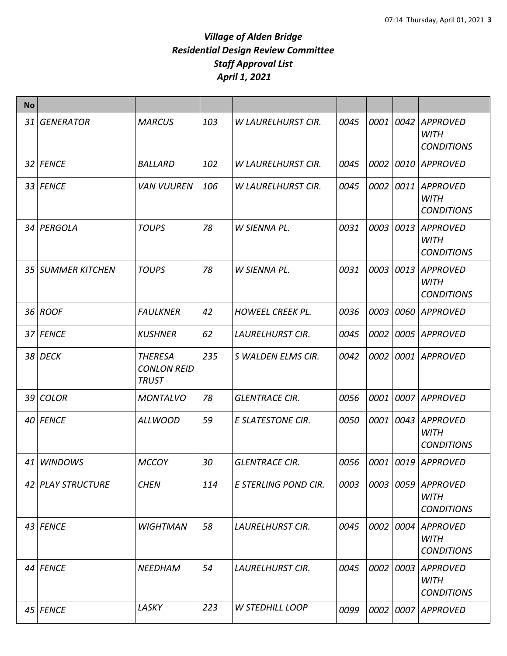| <b>No</b> |                   |                                                      |     |                           |      |      |      |                                                     |
|-----------|-------------------|------------------------------------------------------|-----|---------------------------|------|------|------|-----------------------------------------------------|
| 31        | <b>GENERATOR</b>  | <b>MARCUS</b>                                        | 103 | <b>W LAURELHURST CIR.</b> | 0045 | 0001 | 0042 | <b>APPROVED</b><br><b>WITH</b><br><b>CONDITIONS</b> |
|           | 32 FENCE          | <b>BALLARD</b>                                       | 102 | <b>W LAURELHURST CIR.</b> | 0045 | 0002 | 0010 | APPROVED                                            |
|           | 33 FENCE          | <b>VAN VUUREN</b>                                    | 106 | <b>W LAURELHURST CIR.</b> | 0045 | 0002 | 0011 | <b>APPROVED</b><br><b>WITH</b><br><b>CONDITIONS</b> |
|           | 34 PERGOLA        | <b>TOUPS</b>                                         | 78  | W SIENNA PL.              | 0031 | 0003 | 0013 | <b>APPROVED</b><br><b>WITH</b><br><b>CONDITIONS</b> |
|           | 35 SUMMER KITCHEN | <b>TOUPS</b>                                         | 78  | W SIENNA PL.              | 0031 | 0003 | 0013 | <b>APPROVED</b><br><b>WITH</b><br><b>CONDITIONS</b> |
|           | 36 ROOF           | <b>FAULKNER</b>                                      | 42  | <b>HOWEEL CREEK PL.</b>   | 0036 | 0003 | 0060 | <b>APPROVED</b>                                     |
|           | 37 FENCE          | <b>KUSHNER</b>                                       | 62  | <b>LAURELHURST CIR.</b>   | 0045 | 0002 | 0005 | <b>APPROVED</b>                                     |
|           | 38 DECK           | <b>THERESA</b><br><b>CONLON REID</b><br><b>TRUST</b> | 235 | S WALDEN ELMS CIR.        | 0042 | 0002 | 0001 | <b>APPROVED</b>                                     |
|           | 39 COLOR          | <b>MONTALVO</b>                                      | 78  | <b>GLENTRACE CIR.</b>     | 0056 | 0001 |      | 0007 APPROVED                                       |
|           | 40 FENCE          | <b>ALLWOOD</b>                                       | 59  | <b>E SLATESTONE CIR.</b>  | 0050 | 0001 | 0043 | <b>APPROVED</b><br><b>WITH</b><br><b>CONDITIONS</b> |
|           | 41 WINDOWS        | <b>MCCOY</b>                                         | 30  | <b>GLENTRACE CIR.</b>     | 0056 | 0001 |      | 0019 APPROVED                                       |
|           | 42 PLAY STRUCTURE | <b>CHEN</b>                                          | 114 | E STERLING POND CIR.      | 0003 | 0003 | 0059 | <b>APPROVED</b><br><b>WITH</b><br><b>CONDITIONS</b> |
|           | 43 FENCE          | <b>WIGHTMAN</b>                                      | 58  | <b>LAURELHURST CIR.</b>   | 0045 | 0002 | 0004 | <b>APPROVED</b><br><b>WITH</b><br><b>CONDITIONS</b> |
|           | 44 FENCE          | NEEDHAM                                              | 54  | <b>LAURELHURST CIR.</b>   | 0045 | 0002 | 0003 | <b>APPROVED</b><br><b>WITH</b><br><b>CONDITIONS</b> |
|           | 45 FENCE          | LASKY                                                | 223 | <b>W STEDHILL LOOP</b>    | 0099 | 0002 | 0007 | <b>APPROVED</b>                                     |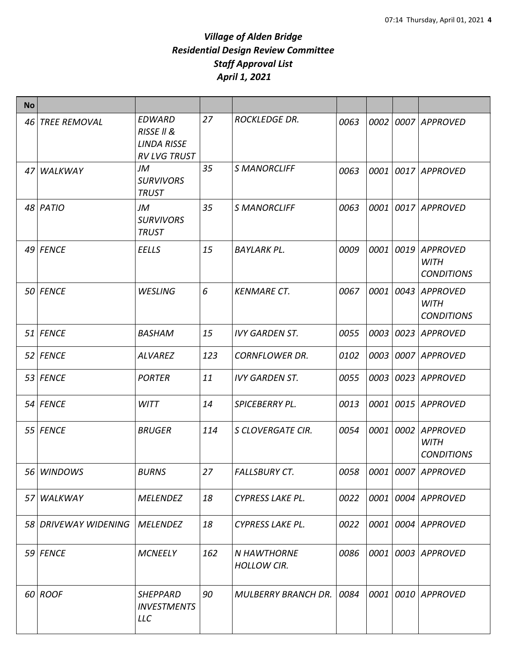| <b>No</b> |                      |                                                                                     |     |                                   |      |             |      |                                                     |
|-----------|----------------------|-------------------------------------------------------------------------------------|-----|-----------------------------------|------|-------------|------|-----------------------------------------------------|
| 46        | <b>TREE REMOVAL</b>  | <b>EDWARD</b><br><b>RISSE II &amp;</b><br><b>LINDA RISSE</b><br><b>RV LVG TRUST</b> | 27  | <b>ROCKLEDGE DR.</b>              | 0063 | 0002        |      | 0007 APPROVED                                       |
| 47        | WALKWAY              | JM<br><b>SURVIVORS</b><br><b>TRUST</b>                                              | 35  | <b>S MANORCLIFF</b>               | 0063 | 0001        |      | 0017 APPROVED                                       |
|           | 48 PATIO             | JM<br><b>SURVIVORS</b><br><b>TRUST</b>                                              | 35  | <b>S MANORCLIFF</b>               | 0063 | <i>0001</i> |      | 0017 APPROVED                                       |
|           | 49 FENCE             | <b>EELLS</b>                                                                        | 15  | <b>BAYLARK PL.</b>                | 0009 | 0001        | 0019 | <b>APPROVED</b><br><b>WITH</b><br><b>CONDITIONS</b> |
|           | 50 FENCE             | <b>WESLING</b>                                                                      | 6   | <b>KENMARE CT.</b>                | 0067 | 0001        | 0043 | <b>APPROVED</b><br><b>WITH</b><br><b>CONDITIONS</b> |
|           | 51 FENCE             | <b>BASHAM</b>                                                                       | 15  | <b>IVY GARDEN ST.</b>             | 0055 | 0003        | 0023 | <b>APPROVED</b>                                     |
|           | 52 FENCE             | <b>ALVAREZ</b>                                                                      | 123 | <b>CORNFLOWER DR.</b>             | 0102 | 0003        |      | 0007 APPROVED                                       |
|           | 53 FENCE             | <b>PORTER</b>                                                                       | 11  | <b>IVY GARDEN ST.</b>             | 0055 | 0003        |      | 0023 APPROVED                                       |
|           | 54 FENCE             | <b>WITT</b>                                                                         | 14  | <b>SPICEBERRY PL.</b>             | 0013 | 0001        |      | 0015 APPROVED                                       |
|           | 55 FENCE             | <b>BRUGER</b>                                                                       | 114 | S CLOVERGATE CIR.                 | 0054 | 0001        | 0002 | <b>APPROVED</b><br><b>WITH</b><br><b>CONDITIONS</b> |
|           | 56 WINDOWS           | <b>BURNS</b>                                                                        | 27  | <b>FALLSBURY CT.</b>              | 0058 |             |      | 0001 0007 APPROVED                                  |
|           | 57 WALKWAY           | <b>MELENDEZ</b>                                                                     | 18  | <b>CYPRESS LAKE PL.</b>           | 0022 |             |      | 0001 0004 APPROVED                                  |
|           | 58 DRIVEWAY WIDENING | <b>MELENDEZ</b>                                                                     | 18  | <b>CYPRESS LAKE PL.</b>           | 0022 | 0001        |      | 0004   APPROVED                                     |
|           | 59 FENCE             | <b>MCNEELY</b>                                                                      | 162 | N HAWTHORNE<br><b>HOLLOW CIR.</b> | 0086 | 0001        |      | 0003 APPROVED                                       |
|           | $60$ ROOF            | <b>SHEPPARD</b><br><b>INVESTMENTS</b><br><b>LLC</b>                                 | 90  | <b>MULBERRY BRANCH DR.</b>        | 0084 | 0001        |      | 0010 APPROVED                                       |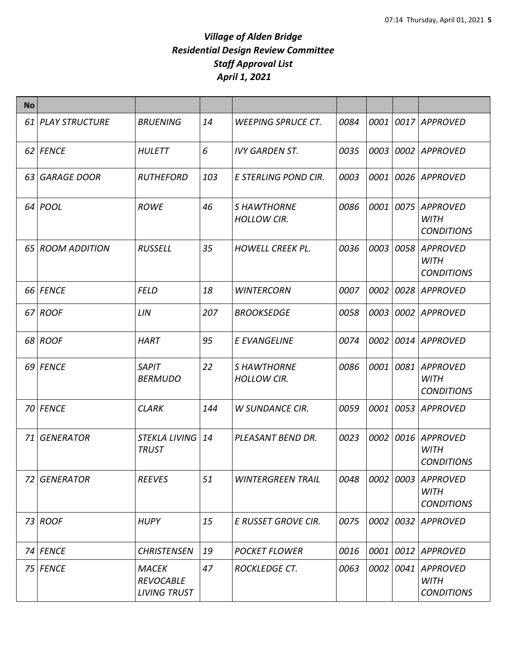| <b>No</b> |                   |                                                         |     |                                          |      |      |      |                                                     |
|-----------|-------------------|---------------------------------------------------------|-----|------------------------------------------|------|------|------|-----------------------------------------------------|
|           | 61 PLAY STRUCTURE | <b>BRUENING</b>                                         | 14  | <b>WEEPING SPRUCE CT.</b>                | 0084 | 0001 |      | 0017 APPROVED                                       |
|           | 62 FENCE          | <b>HULETT</b>                                           | 6   | <b>IVY GARDEN ST.</b>                    | 0035 | 0003 | 0002 | <b>APPROVED</b>                                     |
|           | 63 GARAGE DOOR    | <b>RUTHEFORD</b>                                        | 103 | E STERLING POND CIR.                     | 0003 | 0001 | 0026 | <b>APPROVED</b>                                     |
|           | 64 POOL           | <b>ROWE</b>                                             | 46  | <b>S HAWTHORNE</b><br><b>HOLLOW CIR.</b> | 0086 | 0001 | 0075 | <b>APPROVED</b><br><b>WITH</b><br><b>CONDITIONS</b> |
|           | 65 ROOM ADDITION  | <b>RUSSELL</b>                                          | 35  | <b>HOWELL CREEK PL.</b>                  | 0036 | 0003 | 0058 | <b>APPROVED</b><br><b>WITH</b><br><b>CONDITIONS</b> |
|           | 66 FENCE          | <b>FELD</b>                                             | 18  | <b>WINTERCORN</b>                        | 0007 | 0002 | 0028 | <b>APPROVED</b>                                     |
|           | 67 ROOF           | LIN                                                     | 207 | <b>BROOKSEDGE</b>                        | 0058 | 0003 | 0002 | <b>APPROVED</b>                                     |
|           | 68 ROOF           | <b>HART</b>                                             | 95  | E EVANGELINE                             | 0074 | 0002 | 0014 | <b>APPROVED</b>                                     |
|           | 69 FENCE          | <b>SAPIT</b><br><b>BERMUDO</b>                          | 22  | <b>S HAWTHORNE</b><br><b>HOLLOW CIR.</b> | 0086 | 0001 | 0081 | <b>APPROVED</b><br><b>WITH</b><br><b>CONDITIONS</b> |
|           | 70 FENCE          | <b>CLARK</b>                                            | 144 | <b>W SUNDANCE CIR.</b>                   | 0059 | 0001 | 0053 | <b>APPROVED</b>                                     |
|           | 71 GENERATOR      | STEKLA LIVING 14<br><b>TRUST</b>                        |     | PLEASANT BEND DR.                        | 0023 | 0002 | 0016 | <b>APPROVED</b><br><b>WITH</b><br><b>CONDITIONS</b> |
| 72        | <b>GENERATOR</b>  | <b>REEVES</b>                                           | 51  | <b>WINTERGREEN TRAIL</b>                 | 0048 | 0002 | 0003 | <b>APPROVED</b><br><b>WITH</b><br><b>CONDITIONS</b> |
|           | $73$ ROOF         | <b>HUPY</b>                                             | 15  | E RUSSET GROVE CIR.                      | 0075 | 0002 | 0032 | <b>APPROVED</b>                                     |
|           | 74 FENCE          | <b>CHRISTENSEN</b>                                      | 19  | <b>POCKET FLOWER</b>                     | 0016 | 0001 | 0012 | <b>APPROVED</b>                                     |
|           | 75 FENCE          | <b>MACEK</b><br><b>REVOCABLE</b><br><b>LIVING TRUST</b> | 47  | <b>ROCKLEDGE CT.</b>                     | 0063 | 0002 | 0041 | <b>APPROVED</b><br><b>WITH</b><br><b>CONDITIONS</b> |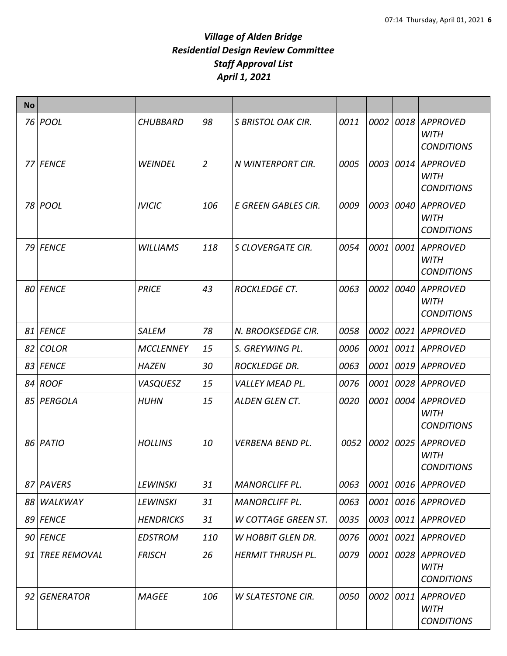| <b>No</b> |                     |                  |                |                            |      |      |      |                                                     |
|-----------|---------------------|------------------|----------------|----------------------------|------|------|------|-----------------------------------------------------|
|           | 76 POOL             | <b>CHUBBARD</b>  | 98             | S BRISTOL OAK CIR.         | 0011 | 0002 | 0018 | <b>APPROVED</b><br><b>WITH</b><br><b>CONDITIONS</b> |
|           | 77 FENCE            | <b>WEINDEL</b>   | $\overline{2}$ | N WINTERPORT CIR.          | 0005 | 0003 | 0014 | <b>APPROVED</b><br><b>WITH</b><br><b>CONDITIONS</b> |
|           | 78 POOL             | <b>IVICIC</b>    | 106            | E GREEN GABLES CIR.        | 0009 | 0003 | 0040 | <b>APPROVED</b><br><b>WITH</b><br><b>CONDITIONS</b> |
|           | 79 FENCE            | <b>WILLIAMS</b>  | 118            | S CLOVERGATE CIR.          | 0054 | 0001 | 0001 | <b>APPROVED</b><br><b>WITH</b><br><b>CONDITIONS</b> |
|           | 80 FENCE            | <b>PRICE</b>     | 43             | <b>ROCKLEDGE CT.</b>       | 0063 | 0002 | 0040 | <b>APPROVED</b><br><b>WITH</b><br><b>CONDITIONS</b> |
|           | 81 FENCE            | <b>SALEM</b>     | 78             | N. BROOKSEDGE CIR.         | 0058 | 0002 | 0021 | <b>APPROVED</b>                                     |
|           | 82 COLOR            | <b>MCCLENNEY</b> | 15             | S. GREYWING PL.            | 0006 | 0001 | 0011 | <b>APPROVED</b>                                     |
|           | 83 FENCE            | <b>HAZEN</b>     | 30             | <b>ROCKLEDGE DR.</b>       | 0063 | 0001 | 0019 | <b>APPROVED</b>                                     |
|           | 84 ROOF             | <b>VASQUESZ</b>  | 15             | <i>VALLEY MEAD PL.</i>     | 0076 | 0001 | 0028 | <b>APPROVED</b>                                     |
|           | 85 PERGOLA          | <b>HUHN</b>      | 15             | <b>ALDEN GLEN CT.</b>      | 0020 | 0001 | 0004 | <b>APPROVED</b><br><b>WITH</b><br><b>CONDITIONS</b> |
|           | 86 PATIO            | <b>HOLLINS</b>   | 10             | <b>VERBENA BEND PL.</b>    | 0052 | 0002 | 0025 | <b>APPROVED</b><br><b>WITH</b><br><b>CONDITIONS</b> |
|           | 87 PAVERS           | LEWINSKI         | 31             | <b>MANORCLIFF PL.</b>      | 0063 | 0001 | 0016 | <b>APPROVED</b>                                     |
|           | 88 WALKWAY          | LEWINSKI         | 31             | <b>MANORCLIFF PL.</b>      | 0063 | 0001 | 0016 | APPROVED                                            |
|           | 89 FENCE            | <b>HENDRICKS</b> | 31             | <b>W COTTAGE GREEN ST.</b> | 0035 | 0003 | 0011 | <b>APPROVED</b>                                     |
|           | 90 FENCE            | <b>EDSTROM</b>   | 110            | <b>W HOBBIT GLEN DR.</b>   | 0076 | 0001 | 0021 | <b>APPROVED</b>                                     |
| 91        | <b>TREE REMOVAL</b> | <b>FRISCH</b>    | 26             | <b>HERMIT THRUSH PL.</b>   | 0079 | 0001 | 0028 | <b>APPROVED</b><br><b>WITH</b><br><b>CONDITIONS</b> |
|           | 92 GENERATOR        | <b>MAGEE</b>     | 106            | <b>W SLATESTONE CIR.</b>   | 0050 | 0002 | 0011 | <b>APPROVED</b><br><b>WITH</b><br><b>CONDITIONS</b> |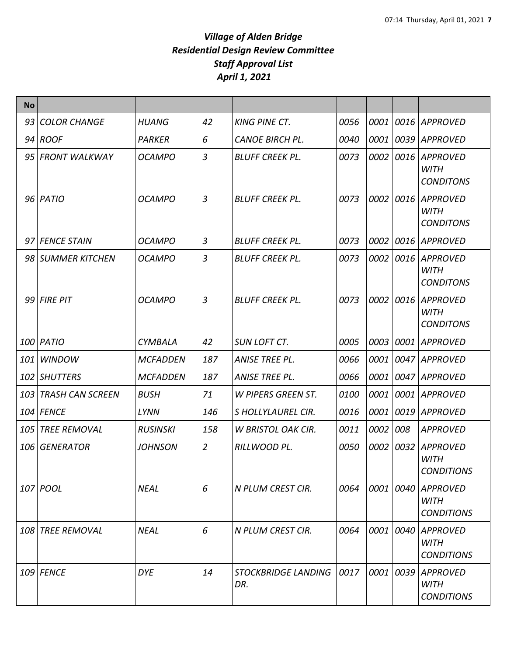| <b>No</b> |                      |                 |                |                                   |      |           |           |                                                     |
|-----------|----------------------|-----------------|----------------|-----------------------------------|------|-----------|-----------|-----------------------------------------------------|
| 93        | <b>COLOR CHANGE</b>  | <b>HUANG</b>    | 42             | <b>KING PINE CT.</b>              | 0056 | 0001      | 0016      | <b>APPROVED</b>                                     |
|           | 94 ROOF              | <b>PARKER</b>   | 6              | <b>CANOE BIRCH PL.</b>            | 0040 | 0001      | 0039      | <b>APPROVED</b>                                     |
|           | 95 FRONT WALKWAY     | <b>OCAMPO</b>   | 3              | <b>BLUFF CREEK PL.</b>            | 0073 | 0002      | 0016      | <b>APPROVED</b><br><b>WITH</b><br><b>CONDITONS</b>  |
|           | 96 PATIO             | <b>OCAMPO</b>   | $\overline{3}$ | <b>BLUFF CREEK PL.</b>            | 0073 |           | 0002 0016 | <b>APPROVED</b><br><b>WITH</b><br><b>CONDITONS</b>  |
|           | 97 FENCE STAIN       | <b>OCAMPO</b>   | 3              | <b>BLUFF CREEK PL.</b>            | 0073 | 0002      | 0016      | <b>APPROVED</b>                                     |
|           | 98 SUMMER KITCHEN    | <b>OCAMPO</b>   | 3              | <b>BLUFF CREEK PL.</b>            | 0073 | 0002      | 0016      | <b>APPROVED</b><br><b>WITH</b><br><b>CONDITONS</b>  |
|           | $99$ FIRE PIT        | <b>OCAMPO</b>   | 3              | <b>BLUFF CREEK PL.</b>            | 0073 | 0002      | 0016      | <b>APPROVED</b><br><b>WITH</b><br><b>CONDITONS</b>  |
|           | 100 PATIO            | <b>CYMBALA</b>  | 42             | <b>SUN LOFT CT.</b>               | 0005 | 0003      | 0001      | <b>APPROVED</b>                                     |
| 101       | <b>WINDOW</b>        | <b>MCFADDEN</b> | 187            | ANISE TREE PL.                    | 0066 | 0001      | 0047      | APPROVED                                            |
| 102       | <b>SHUTTERS</b>      | <b>MCFADDEN</b> | 187            | ANISE TREE PL.                    | 0066 | 0001      | 0047      | <b>APPROVED</b>                                     |
|           | 103 TRASH CAN SCREEN | <b>BUSH</b>     | 71             | W PIPERS GREEN ST.                | 0100 | 0001      | 0001      | <b>APPROVED</b>                                     |
|           | 104 FENCE            | LYNN            | 146            | S HOLLYLAUREL CIR.                | 0016 | 0001      | 0019      | <b>APPROVED</b>                                     |
| 105       | <b>TREE REMOVAL</b>  | <b>RUSINSKI</b> | 158            | <b>W BRISTOL OAK CIR.</b>         | 0011 | 0002      | 008       | <b>APPROVED</b>                                     |
| 106       | <b>GENERATOR</b>     | <b>JOHNSON</b>  | $\overline{2}$ | RILLWOOD PL.                      | 0050 | 0002      | 0032      | <b>APPROVED</b><br><b>WITH</b><br><b>CONDITIONS</b> |
|           | 107 POOL             | <b>NEAL</b>     | 6              | N PLUM CREST CIR.                 | 0064 | 0001      | 0040      | <b>APPROVED</b><br><b>WITH</b><br><b>CONDITIONS</b> |
|           | 108 TREE REMOVAL     | <b>NEAL</b>     | 6              | N PLUM CREST CIR.                 | 0064 | 0001      | 0040      | <b>APPROVED</b><br><b>WITH</b><br><b>CONDITIONS</b> |
|           | 109 FENCE            | <b>DYE</b>      | 14             | <b>STOCKBRIDGE LANDING</b><br>DR. | 0017 | 0001 0039 |           | <b>APPROVED</b><br>WITH<br><b>CONDITIONS</b>        |